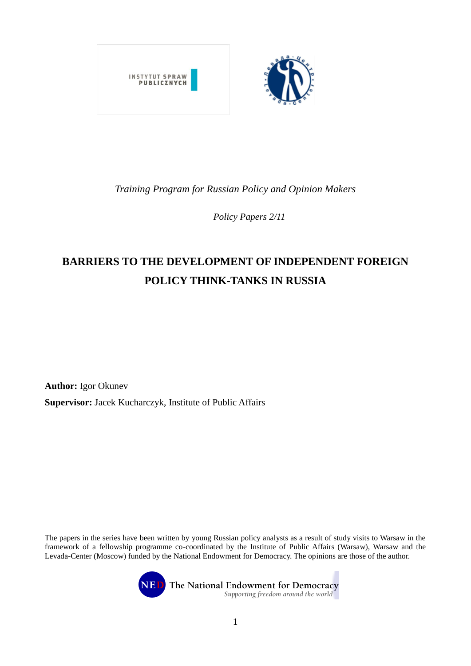

## *Training Program for Russian Policy and Opinion Makers*

*Policy Papers 2/11*

# BARRIERS TO THE DEVELOPMENT OF INDEPENDENT FOREIGN **POLICY THINK-TANKS IN RUSSIA**

**Author:** Igor Okunev **Supervisor:** Jacek Kucharczyk, Institute of Public Affairs

The papers in the series have been written by young Russian policy analysts as a result of study visits to Warsaw in the framework of a fellowship programme co-coordinated by the Institute of Public Affairs (Warsaw), Warsaw and the Levada-Center (Moscow) funded by the National Endowment for Democracy. The opinions are those of the author.



The National Endowment for Democracy Supporting freedom around the world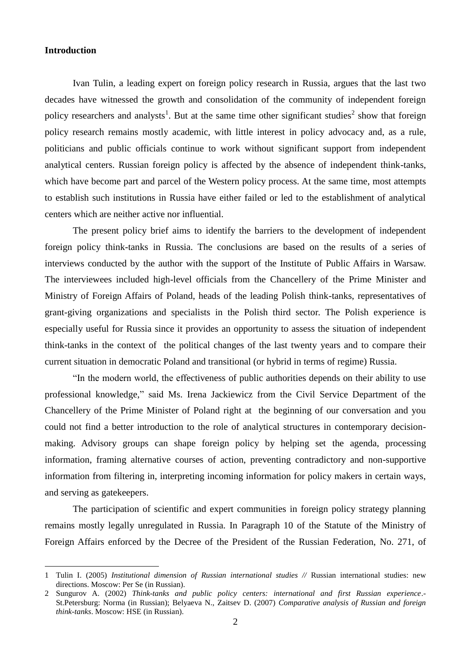#### **Introduction**

<u>.</u>

Ivan Tulin, a leading expert on foreign policy research in Russia, argues that the last two decades have witnessed the growth and consolidation of the community of independent foreign policy researchers and analysts<sup>1</sup>. But at the same time other significant studies<sup>2</sup> show that foreign policy research remains mostly academic, with little interest in policy advocacy and, as a rule, politicians and public officials continue to work without significant support from independent analytical centers. Russian foreign policy is affected by the absence of independent think-tanks, which have become part and parcel of the Western policy process. At the same time, most attempts to establish such institutions in Russia have either failed or led to the establishment of analytical centers which are neither active nor influential.

The present policy brief aims to identify the barriers to the development of independent foreign policy think-tanks in Russia. The conclusions are based on the results of a series of interviews conducted by the author with the support of the Institute of Public Affairs in Warsaw. The interviewees included high-level officials from the Chancellery of the Prime Minister and Ministry of Foreign Affairs of Poland, heads of the leading Polish think-tanks, representatives of grant-giving organizations and specialists in the Polish third sector. The Polish experience is especially useful for Russia since it provides an opportunity to assess the situation of independent think-tanks in the context of the political changes of the last twenty years and to compare their current situation in democratic Poland and transitional (or hybrid in terms of regime) Russia.

"In the modern world, the effectiveness of public authorities depends on their ability to use professional knowledge," said Ms. Irena Jackiewicz from the Civil Service Department of the Chancellery of the Prime Minister of Poland right at the beginning of our conversation and you could not find a better introduction to the role of analytical structures in contemporary decisionmaking. Advisory groups can shape foreign policy by helping set the agenda, processing information, framing alternative courses of action, preventing contradictory and non-supportive information from filtering in, interpreting incoming information for policy makers in certain ways, and serving as gatekeepers.

The participation of scientific and expert communities in foreign policy strategy planning remains mostly legally unregulated in Russia. In Paragraph 10 of the Statute of the Ministry of Foreign Affairs enforced by the Decree of the President of the Russian Federation, No. 271, of

<sup>1</sup> Tulin I. (2005) *Institutional dimension of Russian international studies //* Russian international studies: new directions. Moscow: Per Se (in Russian).

<sup>2</sup> Sungurov A. (2002) *Think-tanks and public policy centers: international and first Russian experience*.- St.Petersburg: Norma (in Russian); Belyaeva N., Zaitsev D. (2007) *Comparative analysis of Russian and foreign think-tanks*. Moscow: HSE (in Russian).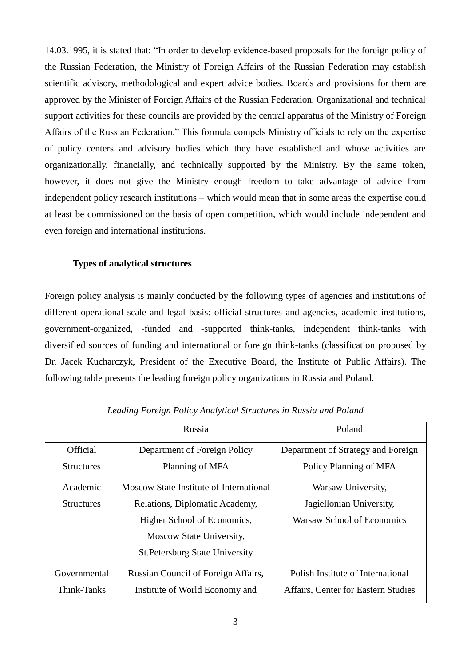14.03.1995, it is stated that: "In order to develop evidence-based proposals for the foreign policy of the Russian Federation, the Ministry of Foreign Affairs of the Russian Federation may establish scientific advisory, methodological and expert advice bodies. Boards and provisions for them are approved by the Minister of Foreign Affairs of the Russian Federation. Organizational and technical support activities for these councils are provided by the central apparatus of the Ministry of Foreign Affairs of the Russian Federation." This formula compels Ministry officials to rely on the expertise of policy centers and advisory bodies which they have established and whose activities are organizationally, financially, and technically supported by the Ministry. By the same token, however, it does not give the Ministry enough freedom to take advantage of advice from independent policy research institutions – which would mean that in some areas the expertise could at least be commissioned on the basis of open competition, which would include independent and even foreign and international institutions.

#### **Types of analytical structures**

Foreign policy analysis is mainly conducted by the following types of agencies and institutions of different operational scale and legal basis: official structures and agencies, academic institutions, government-organized, -funded and -supported think-tanks, independent think-tanks with diversified sources of funding and international or foreign think-tanks (classification proposed by Dr. Jacek Kucharczyk, President of the Executive Board, the Institute of Public Affairs). The following table presents the leading foreign policy organizations in Russia and Poland.

|                   | Russia                                    | Poland                              |  |  |
|-------------------|-------------------------------------------|-------------------------------------|--|--|
| <b>Official</b>   | Department of Foreign Policy              | Department of Strategy and Foreign  |  |  |
| <b>Structures</b> | Planning of MFA<br>Policy Planning of MFA |                                     |  |  |
| Academic          | Moscow State Institute of International   | Warsaw University,                  |  |  |
| <b>Structures</b> | Relations, Diplomatic Academy,            | Jagiellonian University,            |  |  |
|                   | Higher School of Economics,               | Warsaw School of Economics          |  |  |
|                   | Moscow State University,                  |                                     |  |  |
|                   | <b>St. Petersburg State University</b>    |                                     |  |  |
| Governmental      | Russian Council of Foreign Affairs,       | Polish Institute of International   |  |  |
| Think-Tanks       | Institute of World Economy and            | Affairs, Center for Eastern Studies |  |  |

*Leading Foreign Policy Analytical Structures in Russia and Poland*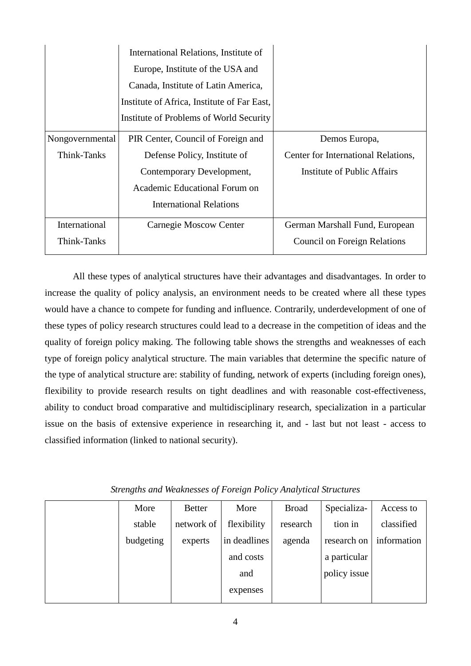|                 | International Relations, Institute of       |                                     |
|-----------------|---------------------------------------------|-------------------------------------|
|                 | Europe, Institute of the USA and            |                                     |
|                 | Canada, Institute of Latin America,         |                                     |
|                 | Institute of Africa, Institute of Far East, |                                     |
|                 | Institute of Problems of World Security     |                                     |
| Nongovernmental | PIR Center, Council of Foreign and          | Demos Europa,                       |
| Think-Tanks     | Defense Policy, Institute of                | Center for International Relations, |
|                 | Contemporary Development,                   | Institute of Public Affairs         |
|                 | Academic Educational Forum on               |                                     |
|                 | <b>International Relations</b>              |                                     |
| International   | Carnegie Moscow Center                      | German Marshall Fund, European      |
| Think-Tanks     |                                             | <b>Council on Foreign Relations</b> |

All these types of analytical structures have their advantages and disadvantages. In order to increase the quality of policy analysis, an environment needs to be created where all these types would have a chance to compete for funding and influence. Contrarily, underdevelopment of one of these types of policy research structures could lead to a decrease in the competition of ideas and the quality of foreign policy making. The following table shows the strengths and weaknesses of each type of foreign policy analytical structure. The main variables that determine the specific nature of the type of analytical structure are: stability of funding, network of experts (including foreign ones), flexibility to provide research results on tight deadlines and with reasonable cost-effectiveness, ability to conduct broad comparative and multidisciplinary research, specialization in a particular issue on the basis of extensive experience in researching it, and - last but not least - access to classified information (linked to national security).

| More      | <b>Better</b> | More         | <b>Broad</b> | Specializa-  | Access to   |
|-----------|---------------|--------------|--------------|--------------|-------------|
| stable    | network of    | flexibility  | research     | tion in      | classified  |
| budgeting | experts       | in deadlines | agenda       | research on  | information |
|           |               | and costs    |              | a particular |             |
|           |               | and          |              | policy issue |             |
|           |               | expenses     |              |              |             |
|           |               |              |              |              |             |

*Strengths and Weaknesses of Foreign Policy Analytical Structures*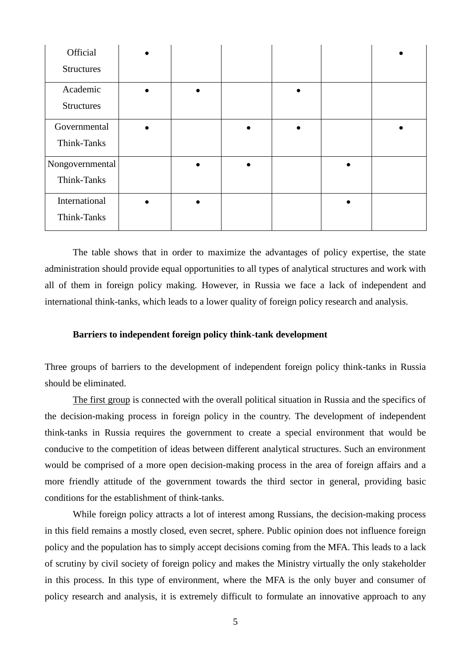| Official          |  |  |  |
|-------------------|--|--|--|
| <b>Structures</b> |  |  |  |
| Academic          |  |  |  |
| <b>Structures</b> |  |  |  |
| Governmental      |  |  |  |
| Think-Tanks       |  |  |  |
| Nongovernmental   |  |  |  |
| Think-Tanks       |  |  |  |
| International     |  |  |  |
| Think-Tanks       |  |  |  |

The table shows that in order to maximize the advantages of policy expertise, the state administration should provide equal opportunities to all types of analytical structures and work with all of them in foreign policy making. However, in Russia we face a lack of independent and international think-tanks, which leads to a lower quality of foreign policy research and analysis.

#### **Barriers to independent foreign policy think-tank development**

Three groups of barriers to the development of independent foreign policy think-tanks in Russia should be eliminated.

The first group is connected with the overall political situation in Russia and the specifics of the decision-making process in foreign policy in the country. The development of independent think-tanks in Russia requires the government to create a special environment that would be conducive to the competition of ideas between different analytical structures. Such an environment would be comprised of a more open decision-making process in the area of foreign affairs and a more friendly attitude of the government towards the third sector in general, providing basic conditions for the establishment of think-tanks.

While foreign policy attracts a lot of interest among Russians, the decision-making process in this field remains a mostly closed, even secret, sphere. Public opinion does not influence foreign policy and the population has to simply accept decisions coming from the MFA. This leads to a lack of scrutiny by civil society of foreign policy and makes the Ministry virtually the only stakeholder in this process. In this type of environment, where the MFA is the only buyer and consumer of policy research and analysis, it is extremely difficult to formulate an innovative approach to any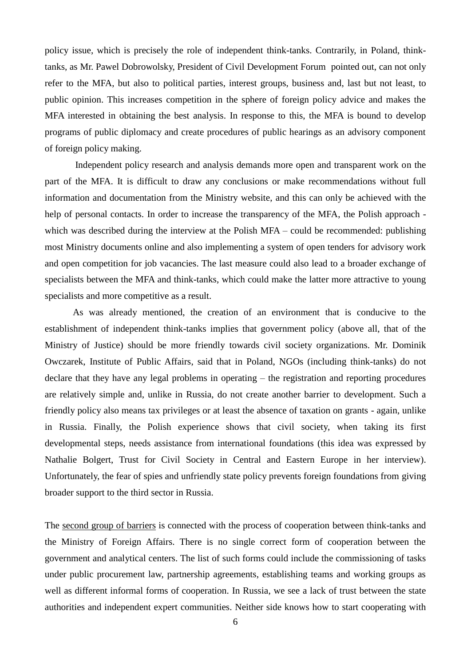policy issue, which is precisely the role of independent think-tanks. Contrarily, in Poland, thinktanks, as Mr. Pawel Dobrowolsky, President of Civil Development Forum pointed out, can not only refer to the MFA, but also to political parties, interest groups, business and, last but not least, to public opinion. This increases competition in the sphere of foreign policy advice and makes the MFA interested in obtaining the best analysis. In response to this, the MFA is bound to develop programs of public diplomacy and create procedures of public hearings as an advisory component of foreign policy making.

Independent policy research and analysis demands more open and transparent work on the part of the MFA. It is difficult to draw any conclusions or make recommendations without full information and documentation from the Ministry website, and this can only be achieved with the help of personal contacts. In order to increase the transparency of the MFA, the Polish approach which was described during the interview at the Polish MFA – could be recommended: publishing most Ministry documents online and also implementing a system of open tenders for advisory work and open competition for job vacancies. The last measure could also lead to a broader exchange of specialists between the MFA and think-tanks, which could make the latter more attractive to young specialists and more competitive as a result.

As was already mentioned, the creation of an environment that is conducive to the establishment of independent think-tanks implies that government policy (above all, that of the Ministry of Justice) should be more friendly towards civil society organizations. Mr. Dominik Owczarek, Institute of Public Affairs, said that in Poland, NGOs (including think-tanks) do not declare that they have any legal problems in operating – the registration and reporting procedures are relatively simple and, unlike in Russia, do not create another barrier to development. Such a friendly policy also means tax privileges or at least the absence of taxation on grants - again, unlike in Russia. Finally, the Polish experience shows that civil society, when taking its first developmental steps, needs assistance from international foundations (this idea was expressed by Nathalie Bolgert, Trust for Civil Society in Central and Eastern Europe in her interview). Unfortunately, the fear of spies and unfriendly state policy prevents foreign foundations from giving broader support to the third sector in Russia.

The second group of barriers is connected with the process of cooperation between think-tanks and the Ministry of Foreign Affairs. There is no single correct form of cooperation between the government and analytical centers. The list of such forms could include the commissioning of tasks under public procurement law, partnership agreements, establishing teams and working groups as well as different informal forms of cooperation. In Russia, we see a lack of trust between the state authorities and independent expert communities. Neither side knows how to start cooperating with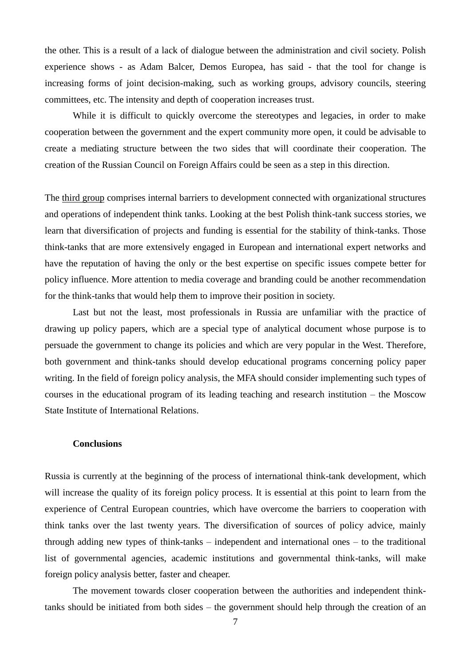the other. This is a result of a lack of dialogue between the administration and civil society. Polish experience shows - as Adam Balcer, Demos Europea, has said - that the tool for change is increasing forms of joint decision-making, such as working groups, advisory councils, steering committees, etc. The intensity and depth of cooperation increases trust.

While it is difficult to quickly overcome the stereotypes and legacies, in order to make cooperation between the government and the expert community more open, it could be advisable to create a mediating structure between the two sides that will coordinate their cooperation. The creation of the Russian Council on Foreign Affairs could be seen as a step in this direction.

The third group comprises internal barriers to development connected with organizational structures and operations of independent think tanks. Looking at the best Polish think-tank success stories, we learn that diversification of projects and funding is essential for the stability of think-tanks. Those think-tanks that are more extensively engaged in European and international expert networks and have the reputation of having the only or the best expertise on specific issues compete better for policy influence. More attention to media coverage and branding could be another recommendation for the think-tanks that would help them to improve their position in society.

Last but not the least, most professionals in Russia are unfamiliar with the practice of drawing up policy papers, which are a special type of analytical document whose purpose is to persuade the government to change its policies and which are very popular in the West. Therefore, both government and think-tanks should develop educational programs concerning policy paper writing. In the field of foreign policy analysis, the MFA should consider implementing such types of courses in the educational program of its leading teaching and research institution – the Moscow State Institute of International Relations.

#### **Conclusions**

Russia is currently at the beginning of the process of international think-tank development, which will increase the quality of its foreign policy process. It is essential at this point to learn from the experience of Central European countries, which have overcome the barriers to cooperation with think tanks over the last twenty years. The diversification of sources of policy advice, mainly through adding new types of think-tanks – independent and international ones – to the traditional list of governmental agencies, academic institutions and governmental think-tanks, will make foreign policy analysis better, faster and cheaper.

The movement towards closer cooperation between the authorities and independent thinktanks should be initiated from both sides – the government should help through the creation of an